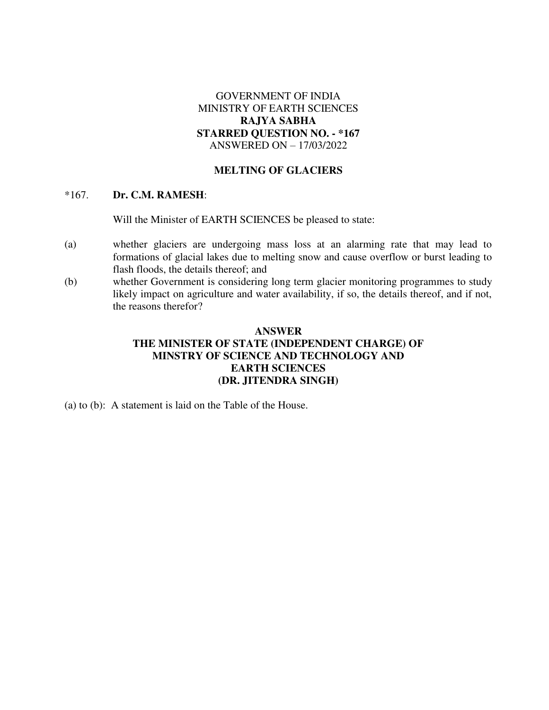# GOVERNMENT OF INDIA MINISTRY OF EARTH SCIENCES **RAJYA SABHA STARRED QUESTION NO. - \*167**  ANSWERED ON – 17/03/2022

### **MELTING OF GLACIERS**

#### \*167. **Dr. C.M. RAMESH**:

Will the Minister of EARTH SCIENCES be pleased to state:

- (a) whether glaciers are undergoing mass loss at an alarming rate that may lead to formations of glacial lakes due to melting snow and cause overflow or burst leading to flash floods, the details thereof; and
- (b) whether Government is considering long term glacier monitoring programmes to study likely impact on agriculture and water availability, if so, the details thereof, and if not, the reasons therefor?

# **ANSWER THE MINISTER OF STATE (INDEPENDENT CHARGE) OF MINSTRY OF SCIENCE AND TECHNOLOGY AND EARTH SCIENCES (DR. JITENDRA SINGH)**

(a) to (b): A statement is laid on the Table of the House.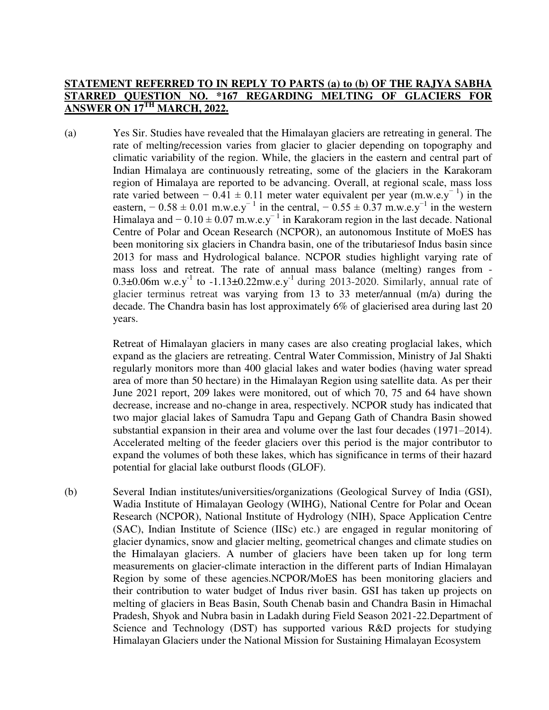### **STATEMENT REFERRED TO IN REPLY TO PARTS (a) to (b) OF THE RAJYA SABHA STARRED QUESTION NO. \*167 REGARDING MELTING OF GLACIERS FOR ANSWER ON 17TH MARCH, 2022.**

(a) Yes Sir. Studies have revealed that the Himalayan glaciers are retreating in general. The rate of melting/recession varies from glacier to glacier depending on topography and climatic variability of the region. While, the glaciers in the eastern and central part of Indian Himalaya are continuously retreating, some of the glaciers in the Karakoram region of Himalaya are reported to be advancing. Overall, at regional scale, mass loss rate varied between − 0.41 ± 0.11 meter water equivalent per year (m.w.e.y<sup>-1</sup>) in the eastern,  $-0.58 \pm 0.01$  m.w.e.y<sup>-1</sup> in the central,  $-0.55 \pm 0.37$  m.w.e.y<sup>-1</sup> in the western Himalaya and  $-0.10 \pm 0.07$  m.w.e.y<sup>-1</sup> in Karakoram region in the last decade. National Centre of Polar and Ocean Research (NCPOR), an autonomous Institute of MoES has been monitoring six glaciers in Chandra basin, one of the tributariesof Indus basin since 2013 for mass and Hydrological balance. NCPOR studies highlight varying rate of mass loss and retreat. The rate of annual mass balance (melting) ranges from - 0.3 $\pm$ 0.06m w.e.y<sup>-1</sup> to -1.13 $\pm$ 0.22mw.e.y<sup>-1</sup> during 2013-2020. Similarly, annual rate of glacier terminus retreat was varying from 13 to 33 meter/annual (m/a) during the decade. The Chandra basin has lost approximately 6% of glacierised area during last 20 years.

> Retreat of Himalayan glaciers in many cases are also creating proglacial lakes, which expand as the glaciers are retreating. Central Water Commission, Ministry of Jal Shakti regularly monitors more than 400 glacial lakes and water bodies (having water spread area of more than 50 hectare) in the Himalayan Region using satellite data. As per their June 2021 report, 209 lakes were monitored, out of which 70, 75 and 64 have shown decrease, increase and no-change in area, respectively. NCPOR study has indicated that two major glacial lakes of Samudra Tapu and Gepang Gath of Chandra Basin showed substantial expansion in their area and volume over the last four decades (1971–2014). Accelerated melting of the feeder glaciers over this period is the major contributor to expand the volumes of both these lakes, which has significance in terms of their hazard potential for glacial lake outburst floods (GLOF).

(b) Several Indian institutes/universities/organizations (Geological Survey of India (GSI), Wadia Institute of Himalayan Geology (WIHG), National Centre for Polar and Ocean Research (NCPOR), National Institute of Hydrology (NIH), Space Application Centre (SAC), Indian Institute of Science (IISc) etc.) are engaged in regular monitoring of glacier dynamics, snow and glacier melting, geometrical changes and climate studies on the Himalayan glaciers. A number of glaciers have been taken up for long term measurements on glacier-climate interaction in the different parts of Indian Himalayan Region by some of these agencies.NCPOR/MoES has been monitoring glaciers and their contribution to water budget of Indus river basin. GSI has taken up projects on melting of glaciers in Beas Basin, South Chenab basin and Chandra Basin in Himachal Pradesh, Shyok and Nubra basin in Ladakh during Field Season 2021-22.Department of Science and Technology (DST) has supported various R&D projects for studying Himalayan Glaciers under the National Mission for Sustaining Himalayan Ecosystem